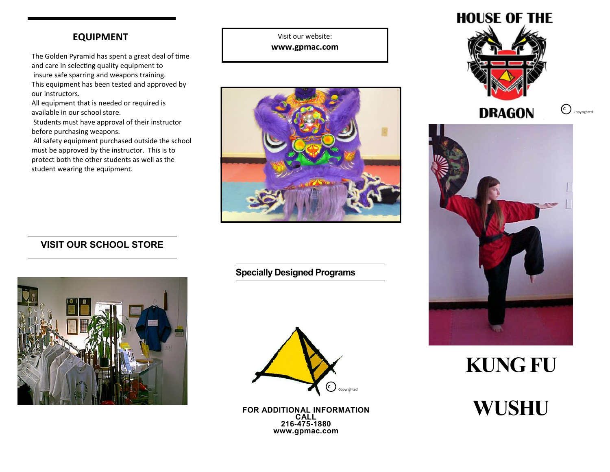## **EQUIPMENT**

The Golden Pyramid has spent a great deal of time and care in selecting quality equipment to insure safe sparring and weapons training. This equipment has been tested and approved by our instructors.

All equipment that is needed or required is available in our school store.

Students must have approval of their instructor before purchasing weapons.

All safety equipment purchased outside the school must be approved by the instructor. This is to protect both the other students as well as the student wearing the equipment.

Visit our website: **www.gpmac.com**



## **VISIT OUR SCHOOL STORE**



**Specially Designed Programs**



**FOR ADDITIONAL INFORMATION 216-475-1880 www.gpmac.com**



**C** Copyrighted



**KUNG FU**

**CALL WUSHU**